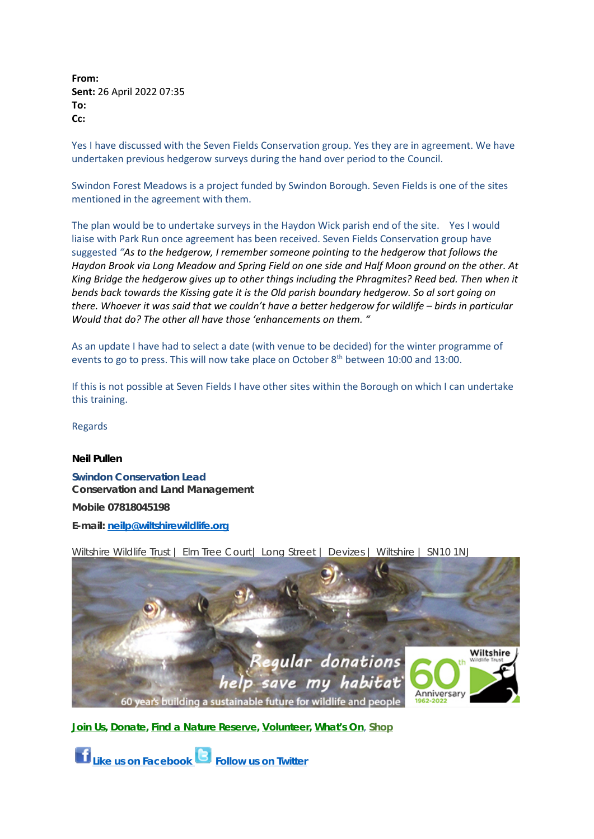**From: Sent:** 26 April 2022 07:35 **To: Cc:**

Yes I have discussed with the Seven Fields Conservation group. Yes they are in agreement. We have undertaken previous hedgerow surveys during the hand over period to the Council.

Swindon Forest Meadows is a project funded by Swindon Borough. Seven Fields is one of the sites mentioned in the agreement with them.

The plan would be to undertake surveys in the Haydon Wick parish end of the site. Yes I would liaise with Park Run once agreement has been received. Seven Fields Conservation group have suggested *"As to the hedgerow, I remember someone pointing to the hedgerow that follows the Haydon Brook via Long Meadow and Spring Field on one side and Half Moon ground on the other. At King Bridge the hedgerow gives up to other things including the Phragmites? Reed bed. Then when it bends back towards the Kissing gate it is the Old parish boundary hedgerow. So al sort going on there. Whoever it was said that we couldn't have a better hedgerow for wildlife – birds in particular Would that do? The other all have those 'enhancements on them. "*

As an update I have had to select a date (with venue to be decided) for the winter programme of events to go to press. This will now take place on October 8<sup>th</sup> between 10:00 and 13:00.

If this is not possible at Seven Fields I have other sites within the Borough on which I can undertake this training.

Regards

## **Neil Pullen**

**Swindon Conservation Lead Conservation and Land Management Mobile 07818045198 E-mail: [neilp@wiltshirewildlife.org](mailto:neilp@wiltshirewildlife.org)**

Wiltshire Wildlife Trust | Elm Tree Court | Long Street | Devizes | Wiltshire | SN10 1NJ



**[Join Us,](https://www.wiltshirewildlife.org/Appeal/membership) [Donate,](https://www.wiltshirewildlife.org/donate/donate/50/credit-card) [Find a Nature Reserve,](http://www.wiltshirewildlife.org/Pages/Category/nature-reserves) [Volunteer,](https://www.wiltshirewildlife.org/Pages/Category/volunteer-with-us?Take=24) [What's On](http://www.wiltshirewildlife.org/Pages/Events/Category/events)**, **[Shop](https://www.wiltshirewildlife.org/shop)**

**[Like us on Facebook](https://www.facebook.com/WiltsWild) [Follow us on Twitter](https://twitter.com/WiltsWildlife)**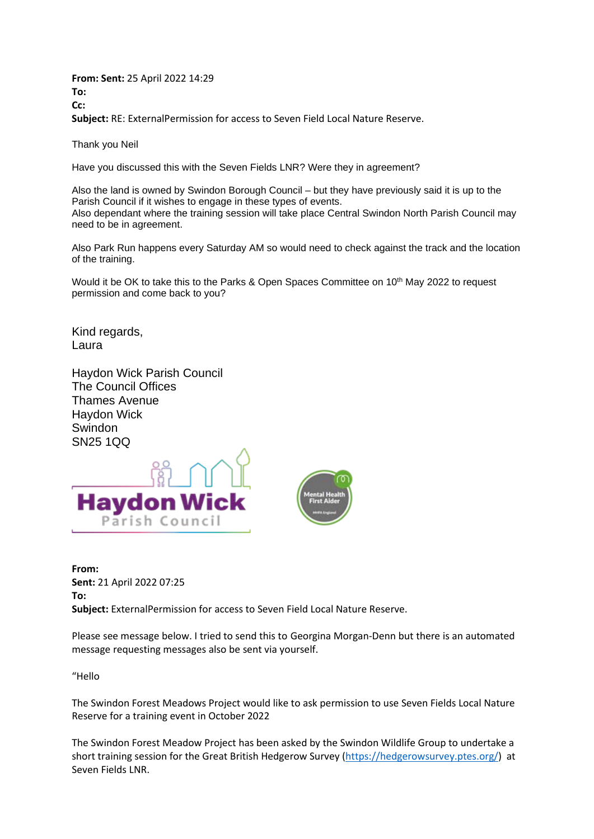**From: Sent:** 25 April 2022 14:29 **To: Cc: Subject:** RE: ExternalPermission for access to Seven Field Local Nature Reserve.

Thank you Neil

Have you discussed this with the Seven Fields LNR? Were they in agreement?

Also the land is owned by Swindon Borough Council – but they have previously said it is up to the Parish Council if it wishes to engage in these types of events. Also dependant where the training session will take place Central Swindon North Parish Council may need to be in agreement.

Also Park Run happens every Saturday AM so would need to check against the track and the location of the training.

Would it be OK to take this to the Parks & Open Spaces Committee on 10<sup>th</sup> May 2022 to request permission and come back to you?

Kind regards, Laura

Haydon Wick Parish Council The Council Offices Thames Avenue Haydon Wick Swindon SN25 1QQ



**From: Sent:** 21 April 2022 07:25 **To: Subject:** ExternalPermission for access to Seven Field Local Nature Reserve.

Please see message below. I tried to send this to Georgina Morgan-Denn but there is an automated message requesting messages also be sent via yourself.

"Hello

The Swindon Forest Meadows Project would like to ask permission to use Seven Fields Local Nature Reserve for a training event in October 2022

The Swindon Forest Meadow Project has been asked by the Swindon Wildlife Group to undertake a short training session for the Great British Hedgerow Survey [\(https://hedgerowsurvey.ptes.org/\)](https://hedgerowsurvey.ptes.org/) at Seven Fields LNR.